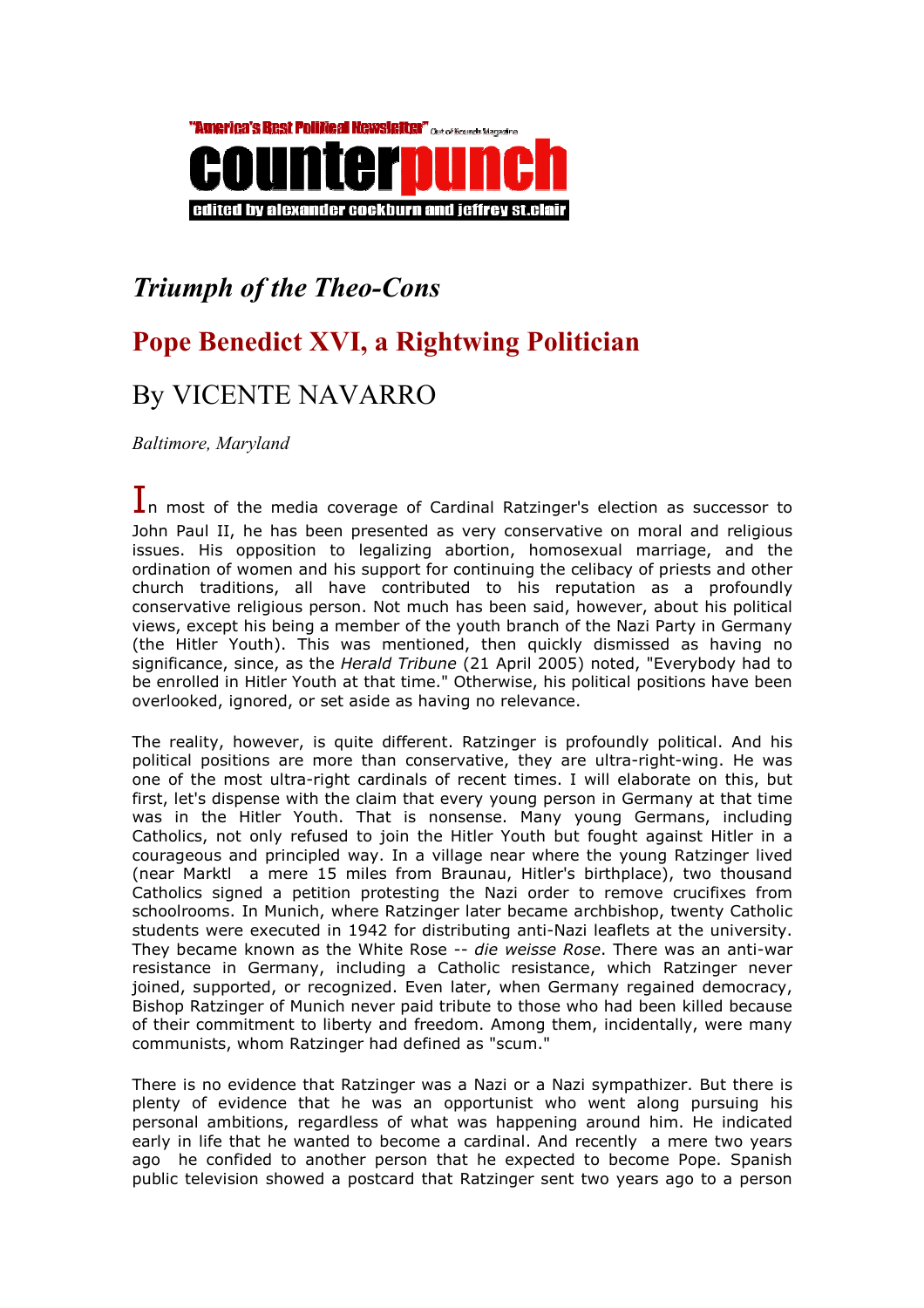

## Triumph of the Theo-Cons

## Pope Benedict XVI, a Rightwing Politician

## By VICENTE NAVARRO

Baltimore, Maryland

In most of the media coverage of Cardinal Ratzinger's election as successor to John Paul II, he has been presented as very conservative on moral and religious issues. His opposition to legalizing abortion, homosexual marriage, and the ordination of women and his support for continuing the celibacy of priests and other church traditions, all have contributed to his reputation as a profoundly conservative religious person. Not much has been said, however, about his political views, except his being a member of the youth branch of the Nazi Party in Germany (the Hitler Youth). This was mentioned, then quickly dismissed as having no significance, since, as the Herald Tribune (21 April 2005) noted, "Everybody had to be enrolled in Hitler Youth at that time." Otherwise, his political positions have been overlooked, ignored, or set aside as having no relevance.

The reality, however, is quite different. Ratzinger is profoundly political. And his political positions are more than conservative, they are ultra-right-wing. He was one of the most ultra-right cardinals of recent times. I will elaborate on this, but first, let's dispense with the claim that every young person in Germany at that time was in the Hitler Youth. That is nonsense. Many young Germans, including Catholics, not only refused to join the Hitler Youth but fought against Hitler in a courageous and principled way. In a village near where the young Ratzinger lived (near Marktl a mere 15 miles from Braunau, Hitler's birthplace), two thousand Catholics signed a petition protesting the Nazi order to remove crucifixes from schoolrooms. In Munich, where Ratzinger later became archbishop, twenty Catholic students were executed in 1942 for distributing anti-Nazi leaflets at the university. They became known as the White Rose -- die weisse Rose. There was an anti-war resistance in Germany, including a Catholic resistance, which Ratzinger never joined, supported, or recognized. Even later, when Germany regained democracy, Bishop Ratzinger of Munich never paid tribute to those who had been killed because of their commitment to liberty and freedom. Among them, incidentally, were many communists, whom Ratzinger had defined as "scum."

There is no evidence that Ratzinger was a Nazi or a Nazi sympathizer. But there is plenty of evidence that he was an opportunist who went along pursuing his personal ambitions, regardless of what was happening around him. He indicated early in life that he wanted to become a cardinal. And recently a mere two years ago he confided to another person that he expected to become Pope. Spanish public television showed a postcard that Ratzinger sent two years ago to a person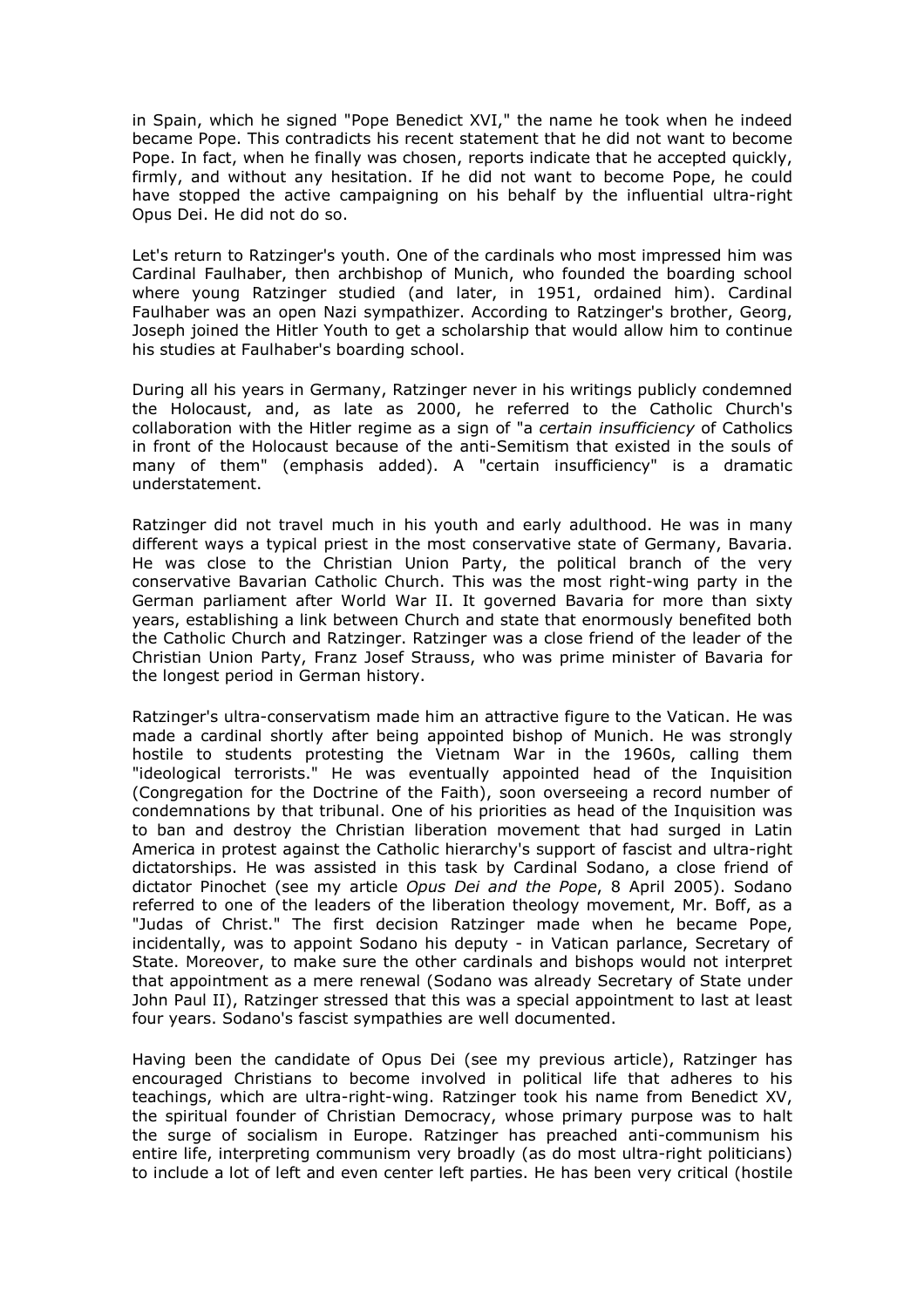in Spain, which he signed "Pope Benedict XVI," the name he took when he indeed became Pope. This contradicts his recent statement that he did not want to become Pope. In fact, when he finally was chosen, reports indicate that he accepted quickly, firmly, and without any hesitation. If he did not want to become Pope, he could have stopped the active campaigning on his behalf by the influential ultra-right Opus Dei. He did not do so.

Let's return to Ratzinger's youth. One of the cardinals who most impressed him was Cardinal Faulhaber, then archbishop of Munich, who founded the boarding school where young Ratzinger studied (and later, in 1951, ordained him). Cardinal Faulhaber was an open Nazi sympathizer. According to Ratzinger's brother, Georg, Joseph joined the Hitler Youth to get a scholarship that would allow him to continue his studies at Faulhaber's boarding school.

During all his years in Germany, Ratzinger never in his writings publicly condemned the Holocaust, and, as late as 2000, he referred to the Catholic Church's collaboration with the Hitler regime as a sign of "a certain insufficiency of Catholics in front of the Holocaust because of the anti-Semitism that existed in the souls of many of them" (emphasis added). A "certain insufficiency" is a dramatic understatement.

Ratzinger did not travel much in his youth and early adulthood. He was in many different ways a typical priest in the most conservative state of Germany, Bavaria. He was close to the Christian Union Party, the political branch of the very conservative Bavarian Catholic Church. This was the most right-wing party in the German parliament after World War II. It governed Bavaria for more than sixty years, establishing a link between Church and state that enormously benefited both the Catholic Church and Ratzinger. Ratzinger was a close friend of the leader of the Christian Union Party, Franz Josef Strauss, who was prime minister of Bavaria for the longest period in German history.

Ratzinger's ultra-conservatism made him an attractive figure to the Vatican. He was made a cardinal shortly after being appointed bishop of Munich. He was strongly hostile to students protesting the Vietnam War in the 1960s, calling them "ideological terrorists." He was eventually appointed head of the Inquisition (Congregation for the Doctrine of the Faith), soon overseeing a record number of condemnations by that tribunal. One of his priorities as head of the Inquisition was to ban and destroy the Christian liberation movement that had surged in Latin America in protest against the Catholic hierarchy's support of fascist and ultra-right dictatorships. He was assisted in this task by Cardinal Sodano, a close friend of dictator Pinochet (see my article Opus Dei and the Pope, 8 April 2005). Sodano referred to one of the leaders of the liberation theology movement, Mr. Boff, as a "Judas of Christ." The first decision Ratzinger made when he became Pope, incidentally, was to appoint Sodano his deputy - in Vatican parlance, Secretary of State. Moreover, to make sure the other cardinals and bishops would not interpret that appointment as a mere renewal (Sodano was already Secretary of State under John Paul II), Ratzinger stressed that this was a special appointment to last at least four years. Sodano's fascist sympathies are well documented.

Having been the candidate of Opus Dei (see my previous article), Ratzinger has encouraged Christians to become involved in political life that adheres to his teachings, which are ultra-right-wing. Ratzinger took his name from Benedict XV, the spiritual founder of Christian Democracy, whose primary purpose was to halt the surge of socialism in Europe. Ratzinger has preached anti-communism his entire life, interpreting communism very broadly (as do most ultra-right politicians) to include a lot of left and even center left parties. He has been very critical (hostile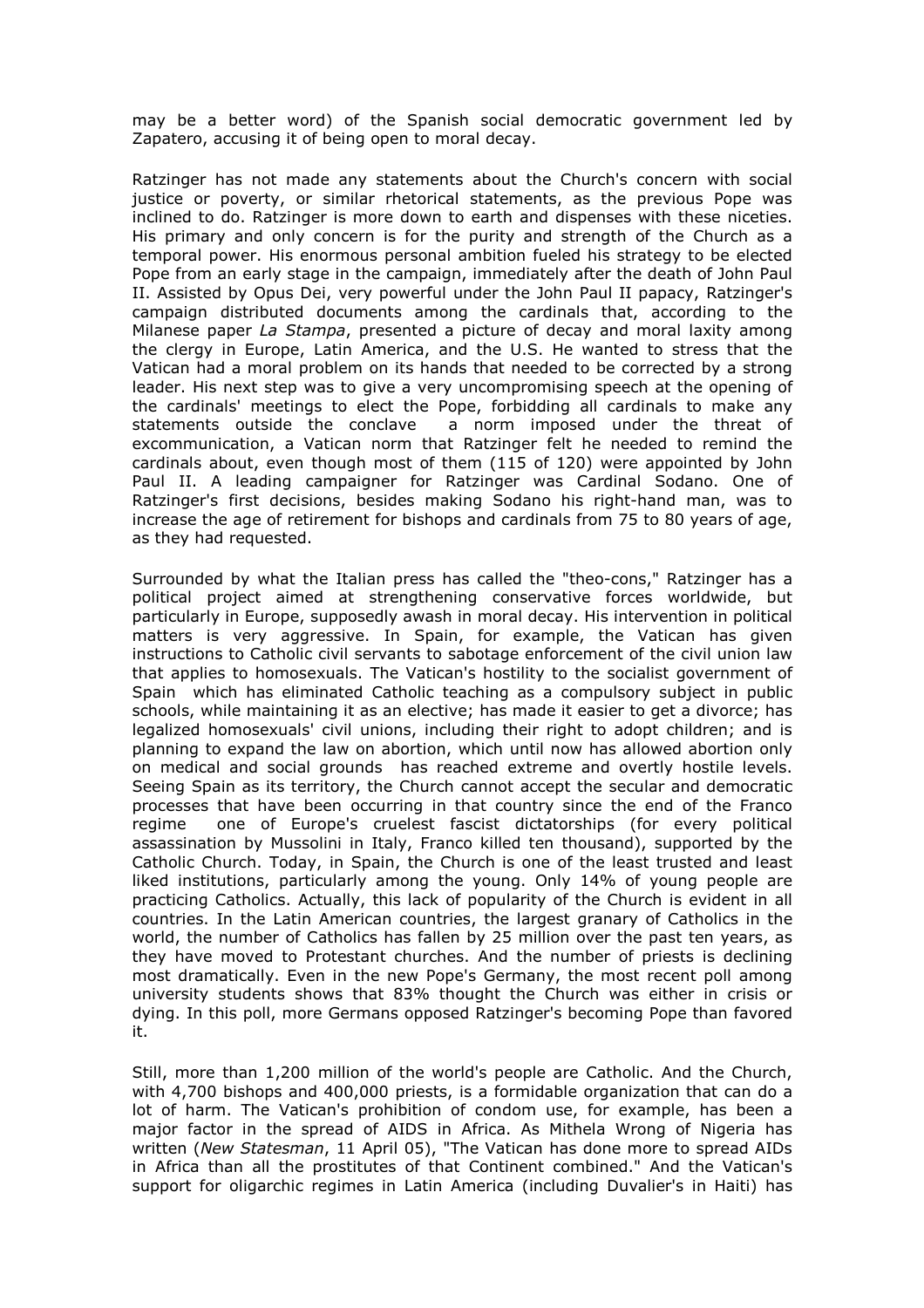may be a better word) of the Spanish social democratic government led by Zapatero, accusing it of being open to moral decay.

Ratzinger has not made any statements about the Church's concern with social justice or poverty, or similar rhetorical statements, as the previous Pope was inclined to do. Ratzinger is more down to earth and dispenses with these niceties. His primary and only concern is for the purity and strength of the Church as a temporal power. His enormous personal ambition fueled his strategy to be elected Pope from an early stage in the campaign, immediately after the death of John Paul II. Assisted by Opus Dei, very powerful under the John Paul II papacy, Ratzinger's campaign distributed documents among the cardinals that, according to the Milanese paper La Stampa, presented a picture of decay and moral laxity among the clergy in Europe, Latin America, and the U.S. He wanted to stress that the Vatican had a moral problem on its hands that needed to be corrected by a strong leader. His next step was to give a very uncompromising speech at the opening of the cardinals' meetings to elect the Pope, forbidding all cardinals to make any statements outside the conclave a norm imposed under the threat of excommunication, a Vatican norm that Ratzinger felt he needed to remind the cardinals about, even though most of them (115 of 120) were appointed by John Paul II. A leading campaigner for Ratzinger was Cardinal Sodano. One of Ratzinger's first decisions, besides making Sodano his right-hand man, was to increase the age of retirement for bishops and cardinals from 75 to 80 years of age, as they had requested.

Surrounded by what the Italian press has called the "theo-cons," Ratzinger has a political project aimed at strengthening conservative forces worldwide, but particularly in Europe, supposedly awash in moral decay. His intervention in political matters is very aggressive. In Spain, for example, the Vatican has given instructions to Catholic civil servants to sabotage enforcement of the civil union law that applies to homosexuals. The Vatican's hostility to the socialist government of Spain which has eliminated Catholic teaching as a compulsory subject in public schools, while maintaining it as an elective; has made it easier to get a divorce; has legalized homosexuals' civil unions, including their right to adopt children; and is planning to expand the law on abortion, which until now has allowed abortion only on medical and social grounds has reached extreme and overtly hostile levels. Seeing Spain as its territory, the Church cannot accept the secular and democratic processes that have been occurring in that country since the end of the Franco regime one of Europe's cruelest fascist dictatorships (for every political assassination by Mussolini in Italy, Franco killed ten thousand), supported by the Catholic Church. Today, in Spain, the Church is one of the least trusted and least liked institutions, particularly among the young. Only 14% of young people are practicing Catholics. Actually, this lack of popularity of the Church is evident in all countries. In the Latin American countries, the largest granary of Catholics in the world, the number of Catholics has fallen by 25 million over the past ten years, as they have moved to Protestant churches. And the number of priests is declining most dramatically. Even in the new Pope's Germany, the most recent poll among university students shows that 83% thought the Church was either in crisis or dying. In this poll, more Germans opposed Ratzinger's becoming Pope than favored it.

Still, more than 1,200 million of the world's people are Catholic. And the Church, with 4,700 bishops and 400,000 priests, is a formidable organization that can do a lot of harm. The Vatican's prohibition of condom use, for example, has been a major factor in the spread of AIDS in Africa. As Mithela Wrong of Nigeria has written (New Statesman, 11 April 05), "The Vatican has done more to spread AIDs in Africa than all the prostitutes of that Continent combined." And the Vatican's support for oligarchic regimes in Latin America (including Duvalier's in Haiti) has